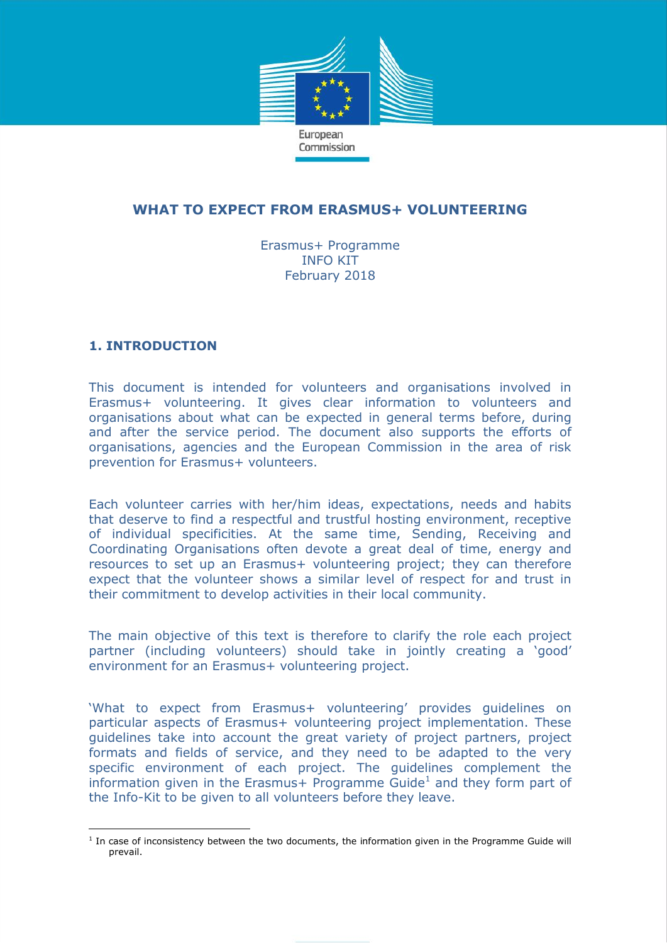

# **WHAT TO EXPECT FROM ERASMUS+ VOLUNTEERING**

Erasmus+ Programme INFO KIT February 2018

# **1. INTRODUCTION**

 $\overline{a}$ 

This document is intended for volunteers and organisations involved in Erasmus+ volunteering. It gives clear information to volunteers and organisations about what can be expected in general terms before, during and after the service period. The document also supports the efforts of organisations, agencies and the European Commission in the area of risk prevention for Erasmus+ volunteers.

Each volunteer carries with her/him ideas, expectations, needs and habits that deserve to find a respectful and trustful hosting environment, receptive of individual specificities. At the same time, Sending, Receiving and Coordinating Organisations often devote a great deal of time, energy and resources to set up an Erasmus+ volunteering project; they can therefore expect that the volunteer shows a similar level of respect for and trust in their commitment to develop activities in their local community.

The main objective of this text is therefore to clarify the role each project partner (including volunteers) should take in jointly creating a 'good' environment for an Erasmus+ volunteering project.

'What to expect from Erasmus+ volunteering' provides guidelines on particular aspects of Erasmus+ volunteering project implementation. These guidelines take into account the great variety of project partners, project formats and fields of service, and they need to be adapted to the very specific environment of each project. The guidelines complement the information given in the Erasmus+ Programme Guide<sup>1</sup> and they form part of the Info-Kit to be given to all volunteers before they leave.

<sup>&</sup>lt;sup>1</sup> In case of inconsistency between the two documents, the information given in the Programme Guide will prevail.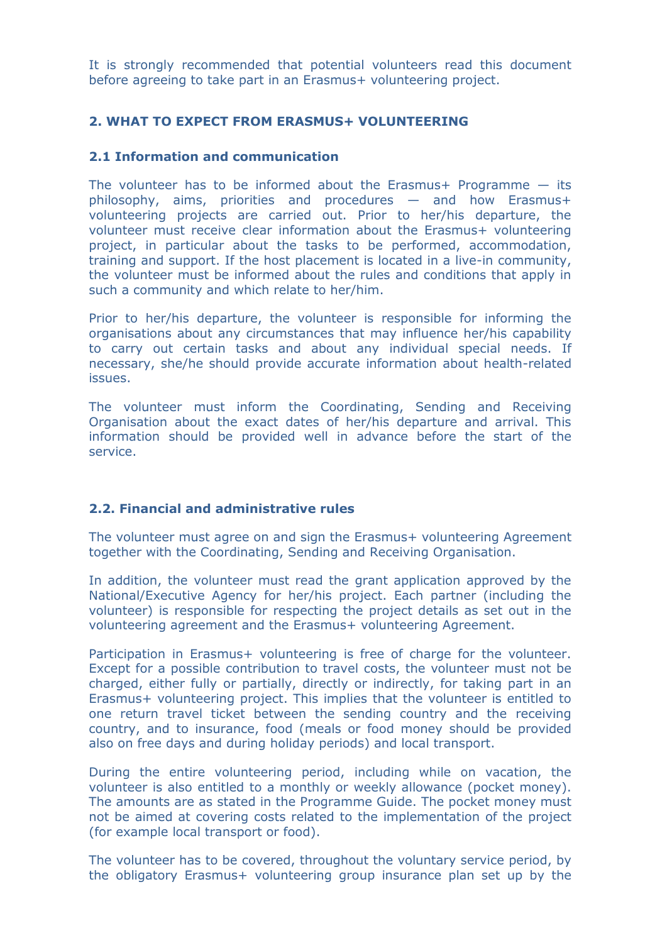It is strongly recommended that potential volunteers read this document before agreeing to take part in an Erasmus+ volunteering project.

## **2. WHAT TO EXPECT FROM ERASMUS+ VOLUNTEERING**

# **2.1 Information and communication**

The volunteer has to be informed about the Erasmus+ Programme  $-$  its philosophy, aims, priorities and procedures — and how Erasmus+ volunteering projects are carried out. Prior to her/his departure, the volunteer must receive clear information about the Erasmus+ volunteering project, in particular about the tasks to be performed, accommodation, training and support. If the host placement is located in a live-in community, the volunteer must be informed about the rules and conditions that apply in such a community and which relate to her/him.

Prior to her/his departure, the volunteer is responsible for informing the organisations about any circumstances that may influence her/his capability to carry out certain tasks and about any individual special needs. If necessary, she/he should provide accurate information about health-related issues.

The volunteer must inform the Coordinating, Sending and Receiving Organisation about the exact dates of her/his departure and arrival. This information should be provided well in advance before the start of the service.

# **2.2. Financial and administrative rules**

The volunteer must agree on and sign the Erasmus+ volunteering Agreement together with the Coordinating, Sending and Receiving Organisation.

In addition, the volunteer must read the grant application approved by the National/Executive Agency for her/his project. Each partner (including the volunteer) is responsible for respecting the project details as set out in the volunteering agreement and the Erasmus+ volunteering Agreement.

Participation in Erasmus+ volunteering is free of charge for the volunteer. Except for a possible contribution to travel costs, the volunteer must not be charged, either fully or partially, directly or indirectly, for taking part in an Erasmus+ volunteering project. This implies that the volunteer is entitled to one return travel ticket between the sending country and the receiving country, and to insurance, food (meals or food money should be provided also on free days and during holiday periods) and local transport.

During the entire volunteering period, including while on vacation, the volunteer is also entitled to a monthly or weekly allowance (pocket money). The amounts are as stated in the Programme Guide. The pocket money must not be aimed at covering costs related to the implementation of the project (for example local transport or food).

The volunteer has to be covered, throughout the voluntary service period, by the obligatory Erasmus+ volunteering group insurance plan set up by the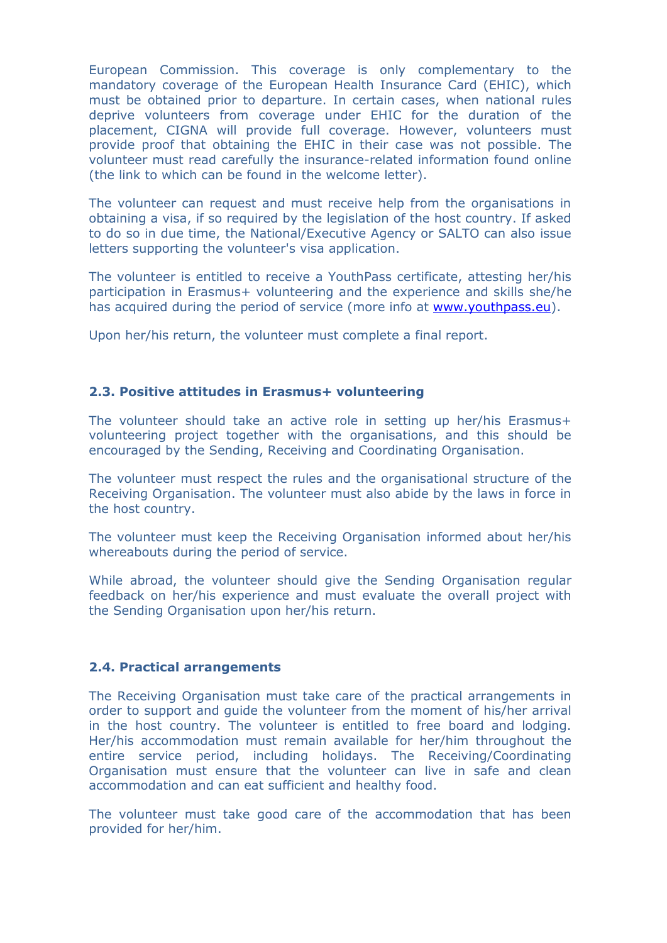European Commission. This coverage is only complementary to the mandatory coverage of the European Health Insurance Card (EHIC), which must be obtained prior to departure. In certain cases, when national rules deprive volunteers from coverage under EHIC for the duration of the placement, CIGNA will provide full coverage. However, volunteers must provide proof that obtaining the EHIC in their case was not possible. The volunteer must read carefully the insurance-related information found online (the link to which can be found in the welcome letter).

The volunteer can request and must receive help from the organisations in obtaining a visa, if so required by the legislation of the host country. If asked to do so in due time, the National/Executive Agency or SALTO can also issue letters supporting the volunteer's visa application.

The volunteer is entitled to receive a YouthPass certificate, attesting her/his participation in Erasmus+ volunteering and the experience and skills she/he has acquired during the period of service (more info at [www.youthpass.eu\)](http://www.youthpass.eu/).

Upon her/his return, the volunteer must complete a final report.

### **2.3. Positive attitudes in Erasmus+ volunteering**

The volunteer should take an active role in setting up her/his Erasmus+ volunteering project together with the organisations, and this should be encouraged by the Sending, Receiving and Coordinating Organisation.

The volunteer must respect the rules and the organisational structure of the Receiving Organisation. The volunteer must also abide by the laws in force in the host country.

The volunteer must keep the Receiving Organisation informed about her/his whereabouts during the period of service.

While abroad, the volunteer should give the Sending Organisation regular feedback on her/his experience and must evaluate the overall project with the Sending Organisation upon her/his return.

#### **2.4. Practical arrangements**

The Receiving Organisation must take care of the practical arrangements in order to support and guide the volunteer from the moment of his/her arrival in the host country. The volunteer is entitled to free board and lodging. Her/his accommodation must remain available for her/him throughout the entire service period, including holidays. The Receiving/Coordinating Organisation must ensure that the volunteer can live in safe and clean accommodation and can eat sufficient and healthy food.

The volunteer must take good care of the accommodation that has been provided for her/him.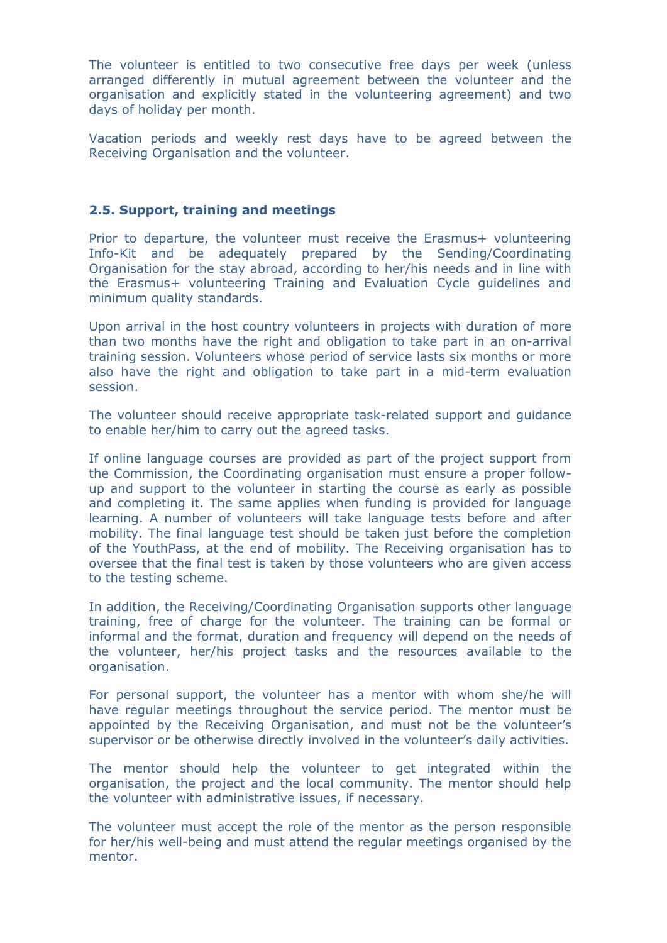The volunteer is entitled to two consecutive free days per week (unless arranged differently in mutual agreement between the volunteer and the organisation and explicitly stated in the volunteering agreement) and two days of holiday per month.

Vacation periods and weekly rest days have to be agreed between the Receiving Organisation and the volunteer.

#### **2.5. Support, training and meetings**

Prior to departure, the volunteer must receive the Erasmus+ volunteering Info-Kit and be adequately prepared by the Sending/Coordinating Organisation for the stay abroad, according to her/his needs and in line with the Erasmus+ volunteering Training and Evaluation Cycle guidelines and minimum quality standards.

Upon arrival in the host country volunteers in projects with duration of more than two months have the right and obligation to take part in an on-arrival training session. Volunteers whose period of service lasts six months or more also have the right and obligation to take part in a mid-term evaluation session.

The volunteer should receive appropriate task-related support and guidance to enable her/him to carry out the agreed tasks.

If online language courses are provided as part of the project support from the Commission, the Coordinating organisation must ensure a proper followup and support to the volunteer in starting the course as early as possible and completing it. The same applies when funding is provided for language learning. A number of volunteers will take language tests before and after mobility. The final language test should be taken just before the completion of the YouthPass, at the end of mobility. The Receiving organisation has to oversee that the final test is taken by those volunteers who are given access to the testing scheme.

In addition, the Receiving/Coordinating Organisation supports other language training, free of charge for the volunteer. The training can be formal or informal and the format, duration and frequency will depend on the needs of the volunteer, her/his project tasks and the resources available to the organisation.

For personal support, the volunteer has a mentor with whom she/he will have regular meetings throughout the service period. The mentor must be appointed by the Receiving Organisation, and must not be the volunteer's supervisor or be otherwise directly involved in the volunteer's daily activities.

The mentor should help the volunteer to get integrated within the organisation, the project and the local community. The mentor should help the volunteer with administrative issues, if necessary.

The volunteer must accept the role of the mentor as the person responsible for her/his well-being and must attend the regular meetings organised by the mentor.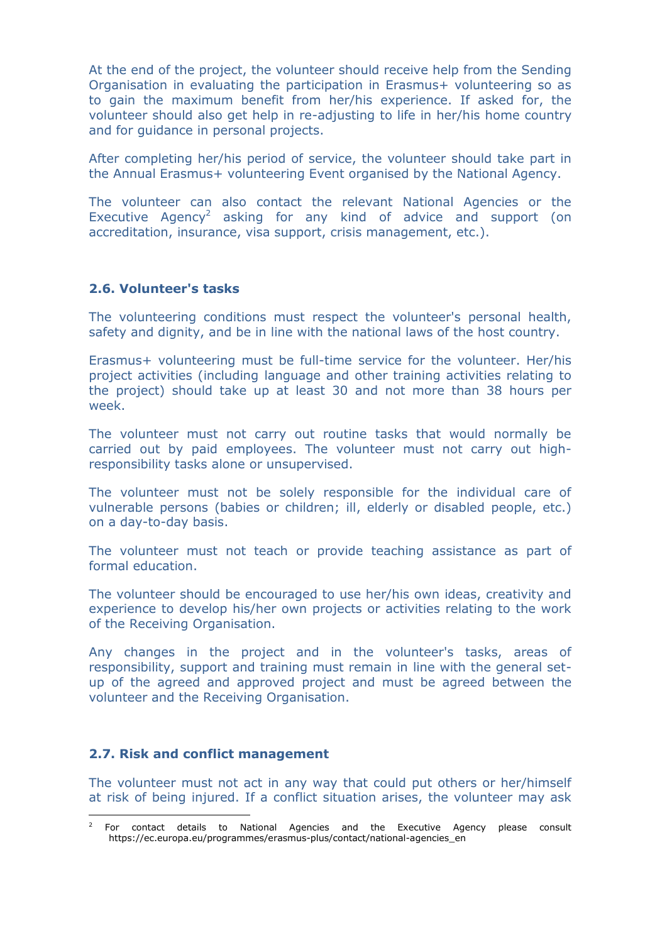At the end of the project, the volunteer should receive help from the Sending Organisation in evaluating the participation in Erasmus+ volunteering so as to gain the maximum benefit from her/his experience. If asked for, the volunteer should also get help in re-adjusting to life in her/his home country and for guidance in personal projects.

After completing her/his period of service, the volunteer should take part in the Annual Erasmus+ volunteering Event organised by the National Agency.

The volunteer can also contact the relevant National Agencies or the Executive Agency<sup>2</sup> asking for any kind of advice and support (on accreditation, insurance, visa support, crisis management, etc.).

### **2.6. Volunteer's tasks**

The volunteering conditions must respect the volunteer's personal health, safety and dignity, and be in line with the national laws of the host country.

Erasmus+ volunteering must be full-time service for the volunteer. Her/his project activities (including language and other training activities relating to the project) should take up at least 30 and not more than 38 hours per week.

The volunteer must not carry out routine tasks that would normally be carried out by paid employees. The volunteer must not carry out highresponsibility tasks alone or unsupervised.

The volunteer must not be solely responsible for the individual care of vulnerable persons (babies or children; ill, elderly or disabled people, etc.) on a day-to-day basis.

The volunteer must not teach or provide teaching assistance as part of formal education.

The volunteer should be encouraged to use her/his own ideas, creativity and experience to develop his/her own projects or activities relating to the work of the Receiving Organisation.

Any changes in the project and in the volunteer's tasks, areas of responsibility, support and training must remain in line with the general setup of the agreed and approved project and must be agreed between the volunteer and the Receiving Organisation.

#### **2.7. Risk and conflict management**

The volunteer must not act in any way that could put others or her/himself at risk of being injured. If a conflict situation arises, the volunteer may ask

 $\overline{a}$ 2 For contact details to National Agencies and the Executive Agency please consult https://ec.europa.eu/programmes/erasmus-plus/contact/national-agencies\_en